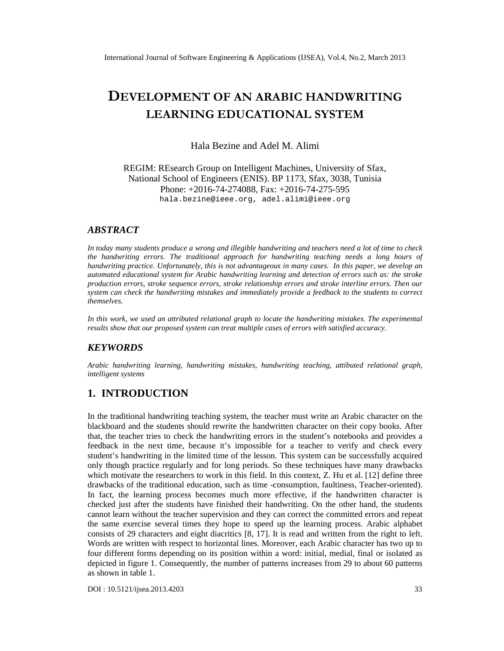# DEVELOPMENT OF ABNICA RAANDWRITING LEARNING EDUCATSOYSS ATEM

Hala Bezine and Adel M. Alimi

REGIM: REsearch Group on Intelligent Machines, University of Sfax, National School of Engineers (ENIS). BP 1173, Sfax, 3038, Tunisia Phone: +201674-274088.Fax: +201674-275-595 hala.b[ezine@ieee.org,](mailto:bezine@ieee.org) adel.al[imi@ieee.org](mailto:alimi@ieee.org)

# ABSTRACT

In today many students produce a wrong and illegible handwriting teachers need a lot of time to check the handwriting errors. The traditional approach for handwriting teachingeeds a long hour of handwriting practice.Unfortunately, this is not dvantageousn many cases. In this papere developan automaed educational system for Arabiandwriting learning anddetectionof errors such as the stroke production errors, stoke sequencerrors, stroke relationship errors and roke interline errors. Then our system can check the handwriting mistakes in dediately provide a feedback to the students to correct themselves.

In this work, we used an attribute delational graph to locate the handwriting mistakes. The experimental results show that our proposed system treat multiplecases ferrors with satisfied accuracy.

## **KEYWORDS**

Arabic handwriting learning, handwriting mistakes, handwriting teaching, attibuted reatigraph, intelligent systems

# 1. INTRODUCTION

In thetraditional handwriting teaching system, the teacher must write an Arabic character on the blackboardandthe students should rewrite theandwrittencharacter on theircopy books. After that, the teacher tries to check he handwriting error in the student€notebooksand provides a feedback in the next time because it€s impossible for a teacher to verify and check every student€s handwriting in the limited time of the les**sone** system can be suce tustive acquired only though practice regularly and for long periods these techniques have many whacks which motivatethe researchers to work in this fielth this context, Z. Huet al. [12] define three drawbacks of the traditional education, sunstatione-consumption, faultiness, Teacher iented. In fact, the learning process becomes much motifiective if the handwritten character is checked just after the students have finished their handwround of the hand he students cannot learn without the teacher supervisionand they can correct the committed errors and repeat the same exercise sevetames they hopeto speed up the learning processabic alphabet consists of 29 characters and eight diacrices [8, 17]. It is read and written from the right to left. Words are written with respect to horizontal lines are over, each Arabic character has two to four different forms depending ont position within aword: initial, medial, finalor isolatedas depicted in figure 1Consequently, the number of patterniscreases from 29 to about 60 patterns as shown intable 1.

DOI : 10.5121/ijsea.2013.4203 33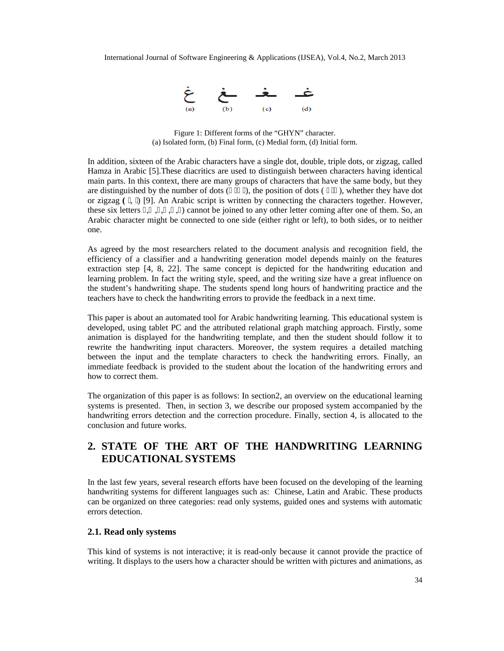

Figure 1: Different forms of the "GHYN" character. (a) Isolated form, (b) Final form, (c) Medial form, (d) Initial form.

In addition, sixteen of the Arabic characters have a single dot, double, triple dots, or zigzag, called Hamza in Arabic [5].These diacritics are used to distinguish between characters having identical main parts. In this context, there are many groups of characters that have the same body, but they are distinguished by the number of dots  $($ ), the position of dots  $($ ), whether they have dot or zigzag **(** , ) [9]. An Arabic script is written by connecting the characters together. However, these six letters , , , , , ) cannot be joined to any other letter coming after one of them. So, an Arabic character might be connected to one side (either right or left), to both sides, or to neither one.

As agreed by the most researchers related to the document analysis and recognition field, the efficiency of a classifier and a handwriting generation model depends mainly on the features extraction step [4, 8, 22]. The same concept is depicted for the handwriting education and learning problem. In fact the writing style, speed, and the writing size have a great influence on the student's handwriting shape. The students spend long hours of handwriting practice and the teachers have to check the handwriting errors to provide the feedback in a next time.

This paper is about an automated tool for Arabic handwriting learning. This educational system is developed, using tablet PC and the attributed relational graph matching approach. Firstly, some animation is displayed for the handwriting template, and then the student should follow it to rewrite the handwriting input characters. Moreover, the system requires a detailed matching between the input and the template characters to check the handwriting errors. Finally, an immediate feedback is provided to the student about the location of the handwriting errors and how to correct them.

The organization of this paper is as follows: In section2, an overview on the educational learning systems is presented. Then, in section 3, we describe our proposed system accompanied by the handwriting errors detection and the correction procedure. Finally, section 4, is allocated to the conclusion and future works.

# **2. STATE OF THE ART OF THE HANDWRITING LEARNING EDUCATIONAL SYSTEMS**

In the last few years, several research efforts have been focused on the developing of the learning handwriting systems for different languages such as: Chinese, Latin and Arabic. These products can be organized on three categories: read only systems, guided ones and systems with automatic errors detection.

#### **2.1. Read only systems**

This kind of systems is not interactive; it is read-only because it cannot provide the practice of writing. It displays to the users how a character should be written with pictures and animations, as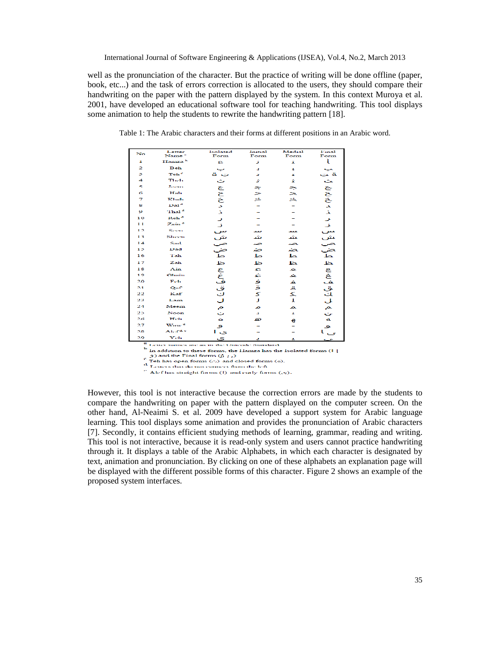well as the pronunciation of the character. But the practice of writing will be done offline (paper, book, etc...) and the task of errors correction is allocated to the users, they should compare their handwriting on the paper with the pattern displayed by the system. In this context Muroya et al. 2001, have developed an educational software tool for teaching handwriting. This tool displays some animation to help the students to rewrite the handwriting pattern [18].

| No             | Letter<br>Name"                    | Isolated<br>Form | Initial<br>Form | Medial<br>Form | Final<br>Form            |
|----------------|------------------------------------|------------------|-----------------|----------------|--------------------------|
| $\bf{1}$       | Hamza <sup>h</sup>                 | £.               | J               | x              | ĭ                        |
| 2              | Beh                                |                  | ٠               | ٠              |                          |
| з              | Teh <sup>r</sup>                   | ت ة              | x               | z              |                          |
| 4              | <b>Their</b>                       | こ きこさょう          | ž.              | ž.             |                          |
| 5.             | Jeann                              |                  | ≈               |                |                          |
| Ğ.             | Hab                                |                  | ➢               | ネスネ            |                          |
| $\overline{z}$ | Khah                               |                  | ح               |                |                          |
| s              | $\mathbf{D}\mathbf{a}\mathbf{1}^d$ |                  |                 |                |                          |
| $\bullet$      | 'Thal <sup>4</sup>                 |                  |                 |                |                          |
| 10             | Reh <sup>4</sup>                   |                  |                 |                |                          |
| 11             | Zain <sup>4</sup>                  |                  |                 |                |                          |
| 12             | Seem                               |                  | سد              | يعمد           |                          |
| 13             | Shoen                              |                  | مثم             | عثم            |                          |
| 14             | Said                               |                  | ∽               | $\overline{a}$ |                          |
| 15             | Dad                                |                  | حند             | لمعتد          |                          |
| 16             | Tah                                |                  | ط               | حلا            |                          |
| 17             | Zah                                | こしいふんぱ さうしこし     | ظ               | لمظ            |                          |
| 18             | $A$ in                             |                  | <b>Q</b>        | з×.            |                          |
| 19             | Ghain                              |                  | غ               | المخد          |                          |
| 20             | Feh                                |                  | ف<br>ق          | غ              |                          |
| 2.1            | Qaf                                |                  |                 | Ä              |                          |
| 22             | Kaf                                |                  | 5               | Z.             |                          |
| 23             | Lam                                |                  | J               | T.             |                          |
| 24             | Meem                               | Ŏ.               | ∞               | ∼              | よん ろろろょく ししんしんは ほうきんもんしょ |
| 25             | Noon                               | Ö                | а               | Æ.             |                          |
| 26             | Heh                                | $\bullet$        | ಎ               | €              |                          |
| 27             | Waw <sup>4</sup>                   | و                |                 |                | ٩                        |
| 28             | Aler#e                             | ی ا              |                 |                |                          |
| $\sim$         | <b>Refuse</b>                      |                  |                 |                |                          |

Table 1: The Arabic characters and their forms at different positions in an Arabic word.

Letter names are as in the Unicode Standard <sup>b</sup> In addition to these forms, the Hamza has the Isolated forms (1)

 $\hat{g}$ ) and the Final forms  $\hat{g}(t)$ 

- .<br>Teh has open forms (.-.) and closed forms (o).

 $\frac{d}{dt}$  Lemmas open rorms (e5) and closed rorm<br> $\frac{d}{dt}$  Letters that do not connect from the left

 $\frac{1}{2}$  Alef has straight forms (I) and early forms (eq).

However, this tool is not interactive because the correction errors are made by the students to compare the handwriting on paper with the pattern displayed on the computer screen. On the other hand, Al-Neaimi S. et al. 2009 have developed a support system for Arabic language learning. This tool displays some animation and provides the pronunciation of Arabic characters [7]. Secondly, it contains efficient studying methods of learning, grammar, reading and writing. This tool is not interactive, because it is read-only system and users cannot practice handwriting through it. It displays a table of the Arabic Alphabets, in which each character is designated by text, animation and pronunciation. By clicking on one of these alphabets an explanation page will be displayed with the different possible forms of this character. Figure 2 shows an example of the proposed system interfaces.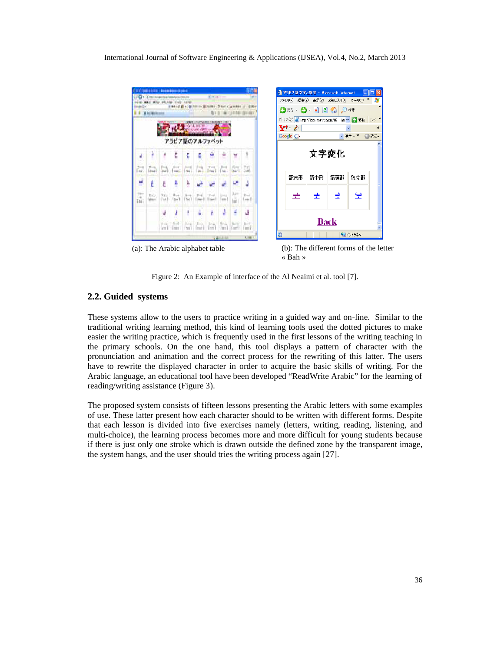

« Bah »

Figure 2: An Example of interface of the Al Neaimi et al. tool [7].

#### **2.2. Guided systems**

These systems allow to the users to practice writing in a guided way and on-line. Similar to the traditional writing learning method, this kind of learning tools used the dotted pictures to make easier the writing practice, which is frequently used in the first lessons of the writing teaching in the primary schools. On the one hand, this tool displays a pattern of character with the pronunciation and animation and the correct process for the rewriting of this latter. The users have to rewrite the displayed character in order to acquire the basic skills of writing. For the Arabic language, an educational tool have been developed "ReadWrite Arabic" for the learning of reading/writing assistance (Figure 3).

The proposed system consists of fifteen lessons presenting the Arabic letters with some examples of use. These latter present how each character should to be written with different forms. Despite that each lesson is divided into five exercises namely (letters, writing, reading, listening, and multi-choice), the learning process becomes more and more difficult for young students because if there is just only one stroke which is drawn outside the defined zone by the transparent image, the system hangs, and the user should tries the writing process again [27].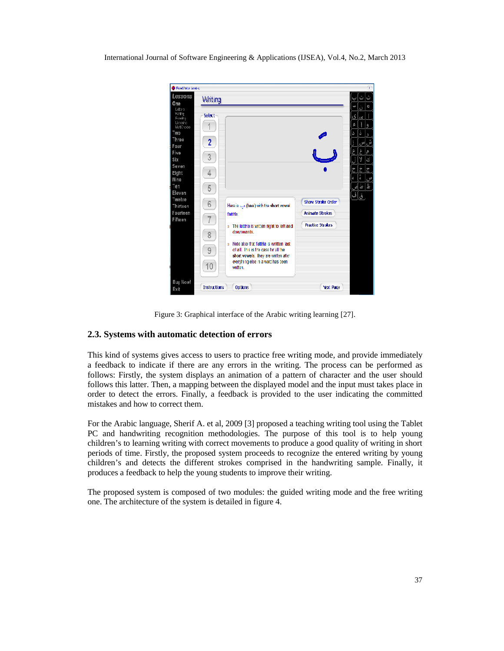| Read/trite Arabic       |                     |                                                                              |                         |     |           | X              |
|-------------------------|---------------------|------------------------------------------------------------------------------|-------------------------|-----|-----------|----------------|
| Lessons                 | Writing             |                                                                              |                         |     |           | ث              |
| One<br>Letters          |                     |                                                                              |                         |     | A         | ¢              |
| Witthe<br>Reading       | Select              |                                                                              |                         | ا ی | ١Ś        |                |
| Listening<br>MutiChoice |                     |                                                                              |                         |     |           |                |
| Two                     |                     |                                                                              |                         | د   | <b>j</b>  |                |
| Three                   | $\overline{2}$      |                                                                              |                         |     |           |                |
| Four<br>Five            |                     |                                                                              |                         |     | p         |                |
| <b>Six</b>              | 3                   |                                                                              |                         |     | y         | ك              |
| Seven                   |                     |                                                                              |                         |     | $\dot{r}$ | $\overline{c}$ |
| <b>Eight</b>            | 4                   |                                                                              |                         |     | ä         |                |
| Nine<br>Ten             |                     |                                                                              |                         |     | ط         | Ŀ              |
| Eleven                  | 5                   |                                                                              |                         | ٺي  |           |                |
| Twelve                  | 6                   |                                                                              | Show Stroke Order       |     | ق.        |                |
| Thirteen<br>Fourteen    |                     | Here is $\cup$ (baa') with the short vowel<br>famHa                          | <b>Animate Strokes</b>  |     |           |                |
| Fifteen                 |                     |                                                                              |                         |     |           |                |
|                         |                     | » The fattha is written right to left and<br>downwards.                      | <b>Practice Strokes</b> |     |           |                |
|                         | 8                   |                                                                              |                         |     |           |                |
|                         |                     | » Note also that fattilla is written last                                    |                         |     |           |                |
|                         | $\Theta$            | of all. This is the case for all the<br>short vowels. They are written after |                         |     |           |                |
|                         |                     | everything else in a word has been                                           |                         |     |           |                |
|                         | 10                  | written                                                                      |                         |     |           |                |
| <b>Buy Now!</b>         |                     |                                                                              |                         |     |           |                |
| Exit                    | <b>Instructions</b> | <b>Options</b>                                                               | <b>Next Page</b>        |     |           |                |

Figure 3: Graphical interface of the Arabic writing learning [27].

## **2.3. Systems with automatic detection of errors**

This kind of systems gives access to users to practice free writing mode, and provide immediately a feedback to indicate if there are any errors in the writing. The process can be performed as follows: Firstly, the system displays an animation of a pattern of character and the user should follows this latter. Then, a mapping between the displayed model and the input must takes place in order to detect the errors. Finally, a feedback is provided to the user indicating the committed mistakes and how to correct them.

For the Arabic language, Sherif A. et al, 2009 [3] proposed a teaching writing tool using the Tablet PC and handwriting recognition methodologies. The purpose of this tool is to help young children's to learning writing with correct movements to produce a good quality of writing in short periods of time. Firstly, the proposed system proceeds to recognize the entered writing by young children's and detects the different strokes comprised in the handwriting sample. Finally, it produces a feedback to help the young students to improve their writing.

The proposed system is composed of two modules: the guided writing mode and the free writing one. The architecture of the system is detailed in figure 4.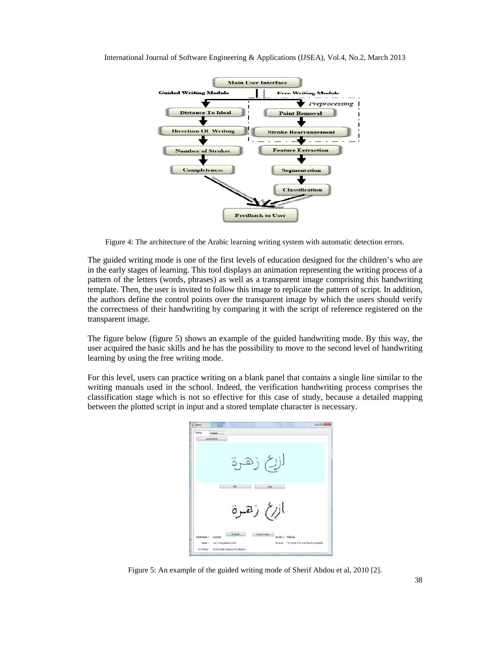

Figure 4: The architecture of the Arabic learning writing system with automatic detection errors.

The guided writing mode is one of the first levels of education designed for the children's who are in the early stages of learning. This tool displays an animation representing the writing process of a pattern of the letters (words, phrases) as well as a transparent image comprising this handwriting template. Then, the user is invited to follow this image to replicate the pattern of script. In addition, the authors define the control points over the transparent image by which the users should verify the correctness of their handwriting by comparing it with the script of reference registered on the transparent image.

The figure below (figure 5) shows an example of the guided handwriting mode. By this way, the user acquired the basic skills and he has the possibility to move to the second level of handwriting learning by using the free writing mode.

For this level, users can practice writing on a blank panel that contains a single line similar to the writing manuals used in the school. Indeed, the verification handwriting process comprises the classification stage which is not so effective for this case of study, because a detailed mapping between the plotted script in input and a stored template character is necessary.



Figure 5: An example of the guided writing mode of Sherif Abdou et al, 2010 [2].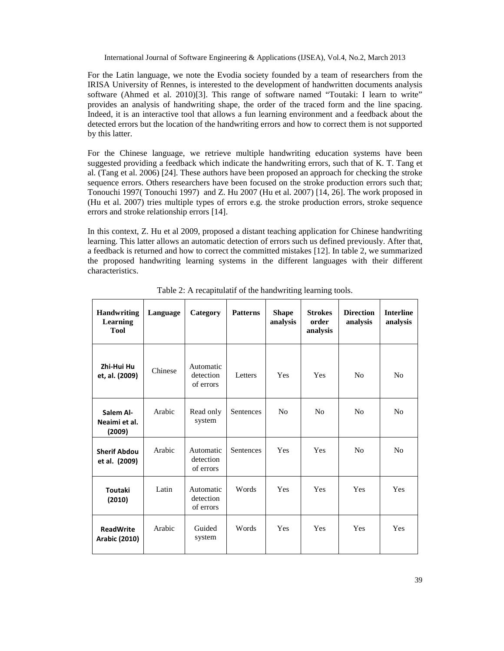For the Latin language, we note the Evodia society founded by a team of researchers from the IRISA University of Rennes, is interested to the development of handwritten documents analysis software (Ahmed et al. 2010)[3]. This range of software named "Toutaki: I learn to write" provides an analysis of handwriting shape, the order of the traced form and the line spacing. Indeed, it is an interactive tool that allows a fun learning environment and a feedback about the detected errors but the location of the handwriting errors and how to correct them is not supported by this latter.

For the Chinese language, we retrieve multiple handwriting education systems have been suggested providing a feedback which indicate the handwriting errors, such that of K. T. Tang et al. (Tang et al. 2006) [24]. These authors have been proposed an approach for checking the stroke sequence errors. Others researchers have been focused on the stroke production errors such that; Tonouchi 1997( Tonouchi 1997) and Z. Hu 2007 (Hu et al. 2007) [14, 26]. The work proposed in (Hu et al. 2007) tries multiple types of errors e.g. the stroke production errors, stroke sequence errors and stroke relationship errors [14].

In this context, Z. Hu et al 2009, proposed a distant teaching application for Chinese handwriting learning. This latter allows an automatic detection of errors such us defined previously. After that, a feedback is returned and how to correct the committed mistakes [12]. In table 2, we summarized the proposed handwriting learning systems in the different languages with their different characteristics.

| <b>Handwriting</b><br>Learning<br><b>Tool</b> | Language | Category                            | <b>Patterns</b>  | <b>Shape</b><br>analysis | <b>Strokes</b><br>order<br>analysis | <b>Direction</b><br>analysis | <b>Interline</b><br>analysis |
|-----------------------------------------------|----------|-------------------------------------|------------------|--------------------------|-------------------------------------|------------------------------|------------------------------|
| Zhi-Hui Hu<br>et, al. (2009)                  | Chinese  | Automatic<br>detection<br>of errors | Letters          | Yes                      | Yes                                 | No                           | No                           |
| Salem Al-<br>Neaimi et al.<br>(2009)          | Arabic   | Read only<br>system                 | Sentences        | N <sub>0</sub>           | N <sub>0</sub>                      | No                           | No                           |
| <b>Sherif Abdou</b><br>et al. (2009)          | Arabic   | Automatic<br>detection<br>of errors | <b>Sentences</b> | Yes                      | Yes                                 | No                           | No                           |
| <b>Toutaki</b><br>(2010)                      | Latin    | Automatic<br>detection<br>of errors | Words            | Yes                      | Yes                                 | Yes                          | <b>Yes</b>                   |
| <b>ReadWrite</b><br><b>Arabic (2010)</b>      | Arabic   | Guided<br>system                    | Words            | Yes                      | Yes                                 | Yes                          | Yes                          |

Table 2: A recapitulatif of the handwriting learning tools.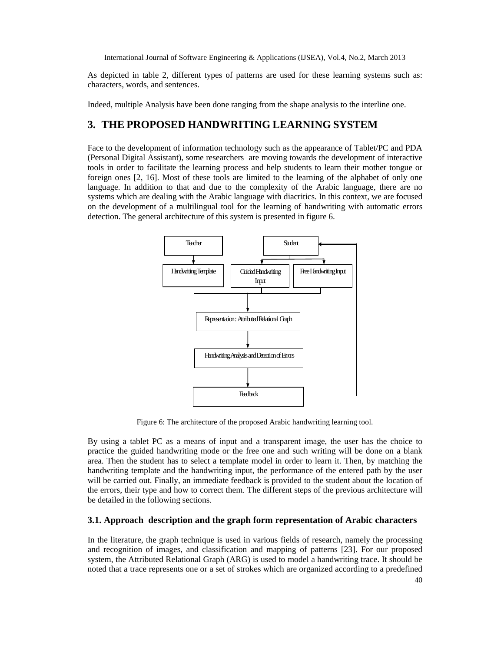As depicted in table 2, different types of patterns are used for these learning systems such as: characters, words, and sentences.

Indeed, multiple Analysis have been done ranging from the shape analysis to the interline one.

## **3. THE PROPOSED HANDWRITING LEARNING SYSTEM**

Face to the development of information technology such as the appearance of Tablet/PC and PDA (Personal Digital Assistant), some researchers are moving towards the development of interactive tools in order to facilitate the learning process and help students to learn their mother tongue or foreign ones [2, 16]. Most of these tools are limited to the learning of the alphabet of only one language. In addition to that and due to the complexity of the Arabic language, there are no systems which are dealing with the Arabic language with diacritics. In this context, we are focused on the development of a multilingual tool for the learning of handwriting with automatic errors detection. The general architecture of this system is presented in figure 6.



Figure 6: The architecture of the proposed Arabic handwriting learning tool.

By using a tablet PC as a means of input and a transparent image, the user has the choice to practice the guided handwriting mode or the free one and such writing will be done on a blank area. Then the student has to select a template model in order to learn it. Then, by matching the handwriting template and the handwriting input, the performance of the entered path by the user will be carried out. Finally, an immediate feedback is provided to the student about the location of the errors, their type and how to correct them. The different steps of the previous architecture will be detailed in the following sections.

## **3.1. Approach description and the graph form representation of Arabic characters**

In the literature, the graph technique is used in various fields of research, namely the processing and recognition of images, and classification and mapping of patterns [23]. For our proposed system, the Attributed Relational Graph (ARG) is used to model a handwriting trace. It should be noted that a trace represents one or a set of strokes which are organized according to a predefined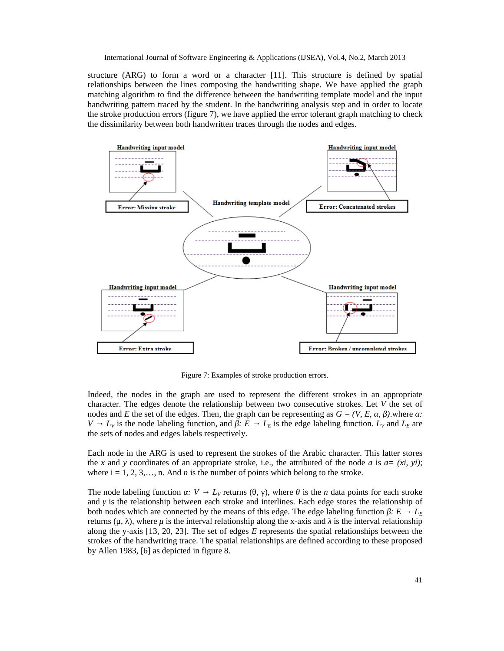structure (ARG) to form a word or a character [11]. This structure is defined by spatial relationships between the lines composing the handwriting shape. We have applied the graph matching algorithm to find the difference between the handwriting template model and the input handwriting pattern traced by the student. In the handwriting analysis step and in order to locate the stroke production errors (figure 7), we have applied the error tolerant graph matching to check the dissimilarity between both handwritten traces through the nodes and edges.



Figure 7: Examples of stroke production errors.

Indeed, the nodes in the graph are used to represent the different strokes in an appropriate character. The edges denote the relationship between two consecutive strokes. Let *V* the set of nodes and *E* the set of the edges. Then, the graph can be representing as  $G = (V, E, \cdot, \cdot)$ .where *a*: *V*  $L_V$  is the node labeling function, and  $E = L_E$  is the edge labeling function.  $L_V$  and  $L_E$  are the sets of nodes and edges labels respectively.

Each node in the ARG is used to represent the strokes of the Arabic character. This latter stores the *x* and *y* coordinates of an appropriate stroke, i.e., the attributed of the node *a* is  $a = (xi, yi)$ ; where  $i = 1, 2, 3, \ldots, n$ . And *n* is the number of points which belong to the stroke.

The node labeling function *(V + L<sub>V</sub>* returns (, ), where is the *n* data points for each stroke and is the relationship between each stroke and interlines. Each edge stores the relationship of both nodes which are connected by the means of this edge. The edge labeling function *β:* E<sub>E</sub> returns (μ, ), where  $μ$  is the interval relationship along the x-axis and is the interval relationship along the y-axis [13, 20, 23]. The set of edges *E* represents the spatial relationships between the strokes of the handwriting trace. The spatial relationships are defined according to these proposed by Allen 1983, [6] as depicted in figure 8.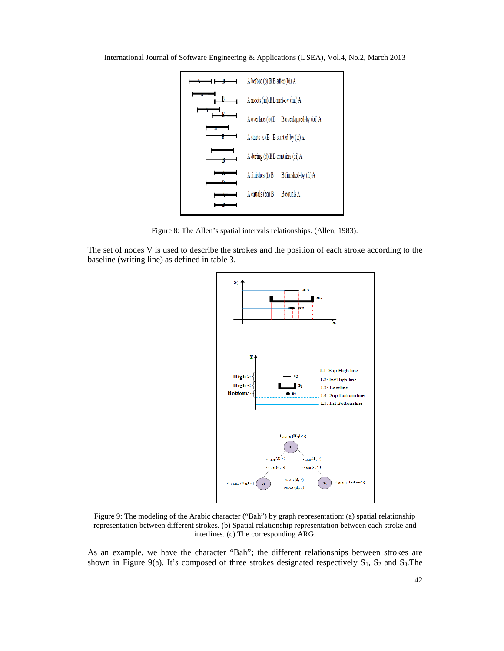

Figure 8: The Allen's spatial intervals relationships. (Allen, 1983).

The set of nodes V is used to describe the strokes and the position of each stroke according to the baseline (writing line) as defined in table 3.



Figure 9: The modeling of the Arabic character ("Bah") by graph representation: (a) spatial relationship representation between different strokes. (b) Spatial relationship representation between each stroke and interlines. (c) The corresponding ARG.

As an example, we have the character "Bah"; the different relationships between strokes are shown in Figure 9(a). It's composed of three strokes designated respectively  $S_1$ ,  $S_2$  and  $S_3$ . The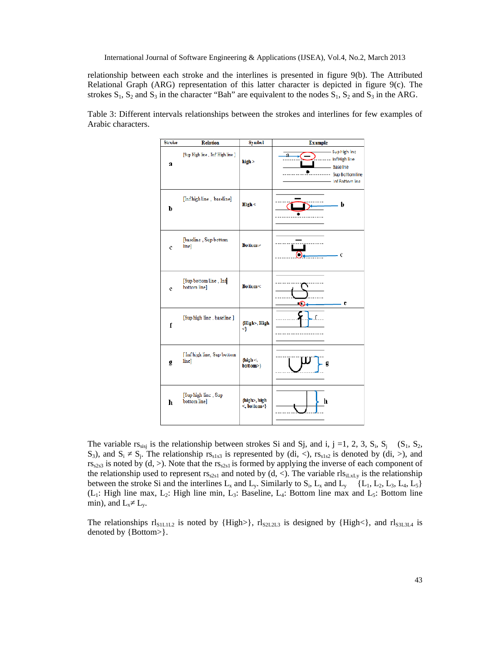relationship between each stroke and the interlines is presented in figure 9(b). The Attributed Relational Graph (ARG) representation of this latter character is depicted in figure 9(c). The strokes  $S_1$ ,  $S_2$  and  $S_3$  in the character "Bah" are equivalent to the nodes  $S_1$ ,  $S_2$  and  $S_3$  in the ARG.



Table 3: Different intervals relationships between the strokes and interlines for few examples of Arabic characters.

The variable rs<sub>sisj</sub> is the relationship between strokes Si and Sj, and i, j =1, 2, 3, S<sub>i</sub>, S<sub>j</sub> (S<sub>1</sub>, S<sub>2</sub>, S<sub>3</sub>), and S<sub>i</sub> S<sub>j</sub>. The relationship  $rs_{sls3}$  is represented by (di, <),  $rs_{sls2}$  is denoted by (di, >), and  $rs_{s2s3}$  is noted by (d, >). Note that the  $rs_{s2s1}$  is formed by applying the inverse of each component of the relationship used to represent  $rs_{s2sl}$  and noted by (d, <). The variable  $rls_{ilxL}$  is the relationship between the stroke Si and the interlines  $L_x$  and  $L_y$ . Similarly to  $S_i$ ,  $L_x$  and  $L_y$  {L<sub>1</sub>, L<sub>2</sub>, L<sub>3</sub>, L<sub>4</sub>, L<sub>5</sub>}  $(L_1: High line max, L_2: High line min, L_3: Baseline, L_4: Bottom line max and L_5: Bottom line max.$ min), and  $L_x$   $L_y$ .

The relationships  $r|_{S1L1L2}$  is noted by {High>},  $r|_{S2L2L3}$  is designed by {High<}, and  $r|_{S3L3L4}$  is denoted by {Bottom>}.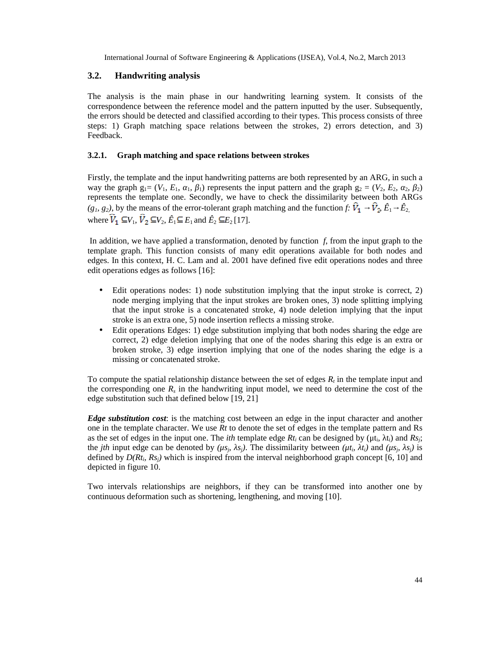#### **3.2. Handwriting analysis**

The analysis is the main phase in our handwriting learning system. It consists of the correspondence between the reference model and the pattern inputted by the user. Subsequently, the errors should be detected and classified according to their types. This process consists of three steps: 1) Graph matching space relations between the strokes, 2) errors detection, and 3) Feedback.

#### **3.2.1. Graph matching and space relations between strokes**

Firstly, the template and the input handwriting patterns are both represented by an ARG, in such a way the graph  $g_1 = (V_1, E_1, 1, 1)$  represents the input pattern and the graph  $g_2 = (V_2, E_2, 2, 2)$ represents the template one. Secondly, we have to check the dissimilarity between both ARGs  $(g_1, g_2)$ , by the means of the error-tolerant graph matching and the function *f*:  $\hat{V}_1$   $\hat{V}_2$ ,  $\hat{E}_1$   $\hat{E}_2$ , where  $\hat{V}_1 \subseteq V_1$ ,  $\hat{V}_2 \subseteq V_2$ ,  $\hat{E}_1 \subseteq E_1$  and  $\hat{E}_2 \subseteq E_2$  [17].

In addition, we have applied a transformation, denoted by function *f*, from the input graph to the template graph. This function consists of many edit operations available for both nodes and edges. In this context, H. C. Lam and al. 2001 have defined five edit operations nodes and three edit operations edges as follows [16]:

- Edit operations nodes: 1) node substitution implying that the input stroke is correct, 2) node merging implying that the input strokes are broken ones, 3) node splitting implying that the input stroke is a concatenated stroke, 4) node deletion implying that the input stroke is an extra one, 5) node insertion reflects a missing stroke.
- Edit operations Edges: 1) edge substitution implying that both nodes sharing the edge are correct, 2) edge deletion implying that one of the nodes sharing this edge is an extra or broken stroke, 3) edge insertion implying that one of the nodes sharing the edge is a missing or concatenated stroke.

To compute the spatial relationship distance between the set of edges *R<sup>t</sup>* in the template input and the corresponding one  $R_s$  in the handwriting input model, we need to determine the cost of the edge substitution such that defined below [19, 21]

*Edge substitution cost*: is the matching cost between an edge in the input character and another one in the template character. We use *Rt* to denote the set of edges in the template pattern and Rs as the set of edges in the input one. The *ith* template edge  $Rt_i$  can be designed by ( $\mu t_i$ ,  $t_i$ ) and  $Rs_j$ ; the *jth* input edge can be denoted by  $(\mu s_j, s_j)$ . The dissimilarity between  $(\mu t_i, t_i)$  and  $(\mu s_j, s_j)$  is defined by  $D(Rt_i, Rs_j)$  which is inspired from the interval neighborhood graph concept [6, 10] and depicted in figure 10.

Two intervals relationships are neighbors, if they can be transformed into another one by continuous deformation such as shortening, lengthening, and moving [10].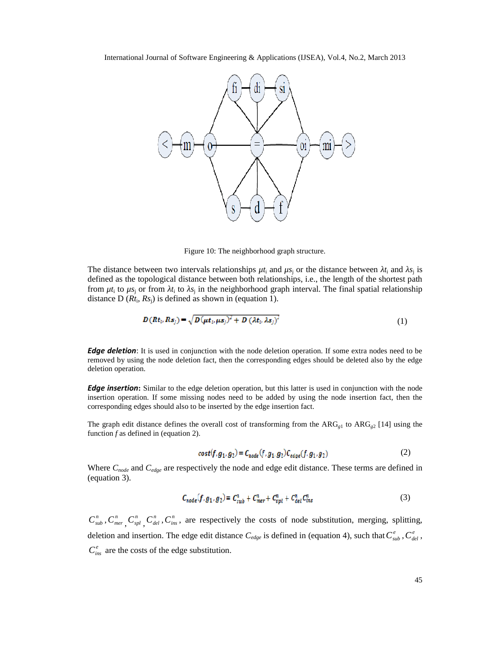

Figure 10: The neighborhood graph structure.

The distance between two intervals relationships  $\mu t_i$  and  $\mu s_j$  or the distance between  $t_i$  and  $s_j$  is defined as the topological distance between both relationships, i.e., the length of the shortest path from  $\mu t_i$  to  $\mu s_j$  or from  $t_i$  to  $s_j$  in the neighborhood graph interval. The final spatial relationship distance  $D(Rt_i, Rs_j)$  is defined as shown in (equation 1).

$$
D(Rt_i, Rs_j) = \sqrt{D(\mu t_i, \mu s_j)^2 + D(\lambda t_i, \lambda s_j)^2}
$$
\n(1)

*Edge deletion*: It is used in conjunction with the node deletion operation. If some extra nodes need to be removed by using the node deletion fact, then the corresponding edges should be deleted also by the edge deletion operation.

*Edge insertion*: Similar to the edge deletion operation, but this latter is used in conjunction with the node insertion operation. If some missing nodes need to be added by using the node insertion fact, then the corresponding edges should also to be inserted by the edge insertion fact.

The graph edit distance defines the overall cost of transforming from the  $ARG_{g1}$  to  $ARG_{g2}$  [14] using the function *f* as defined in (equation 2).

$$
cost(f, g_1, g_2) = C_{node}(f, g_1, g_2) C_{edge}(f, g_1, g_2)
$$
 (2)

Where *Cnode* and *Cedge* are respectively the node and edge edit distance. These terms are defined in (equation 3).

$$
C_{node}(f, g_1, g_2) = C_{sub}^n + C_{mer}^n + C_{spl}^n + C_{del}^n C_{ins}^n
$$
 (3)

 $C_{sub}^n$ ,  $C_{mer}^n$ ,  $C_{spl}^n$ ,  $C_{del}^n$ ,  $C_{ins}^n$ , are respectively the costs of node substitution, merging, splitting, deletion and insertion. The edge edit distance  $C_{edge}$  is defined in (equation 4), such that  $C_{sub}^e$ ,  $C_{del}^e$ ,  $C_{ins}^e$  are the costs of the edge substitution.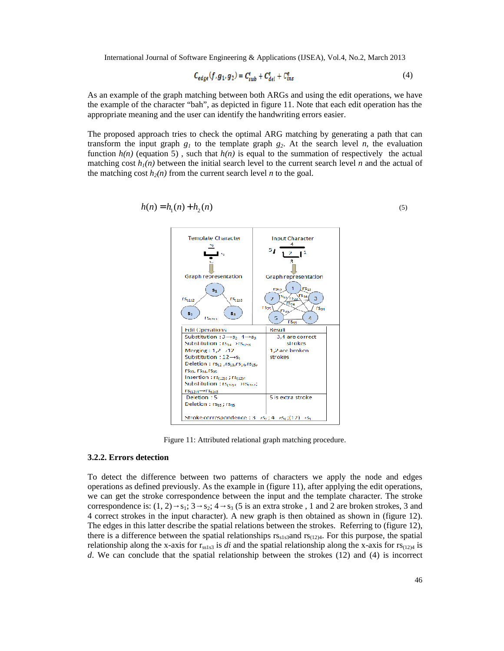$$
\mathcal{C}_{edge}(f,g_1,g_2) = \mathcal{C}_{sub}^{\epsilon} + \mathcal{C}_{del}^{\epsilon} + \mathcal{C}_{ins}^{\epsilon} \tag{4}
$$

As an example of the graph matching between both ARGs and using the edit operations, we have the example of the character "bah", as depicted in figure 11. Note that each edit operation has the appropriate meaning and the user can identify the handwriting errors easier.

The proposed approach tries to check the optimal ARG matching by generating a path that can transform the input graph  $g_1$  to the template graph  $g_2$ . At the search level *n*, the evaluation function  $h(n)$  (equation 5), such that  $h(n)$  is equal to the summation of respectively the actual matching cost  $h_1(n)$  between the initial search level to the current search level *n* and the actual of the matching cost  $h_2(n)$  from the current search level *n* to the goal.

$$
h(n) = h_1(n) + h_2(n)
$$
\n(5)



Figure 11: Attributed relational graph matching procedure.

#### **3.2.2. Errors detection**

To detect the difference between two patterns of characters we apply the node and edges operations as defined previously. As the example in (figure 11), after applying the edit operations, we can get the stroke correspondence between the input and the template character. The stroke correspondence is:  $(1, 2)$  s<sub>1</sub>; 3 s<sub>2</sub>; 4 s<sub>3</sub> (5 is an extra stroke , 1 and 2 are broken strokes, 3 and 4 correct strokes in the input character). A new graph is then obtained as shown in (figure 12). The edges in this latter describe the spatial relations between the strokes. Referring to (figure 12), there is a difference between the spatial relationships  $rs_{sls3}$  and  $rs_{(12)4}$ . For this purpose, the spatial relationship along the x-axis for  $r_{ss1s3}$  is *di* and the spatial relationship along the x-axis for  $rs_{(12)4}$  is *d*. We can conclude that the spatial relationship between the strokes (12) and (4) is incorrect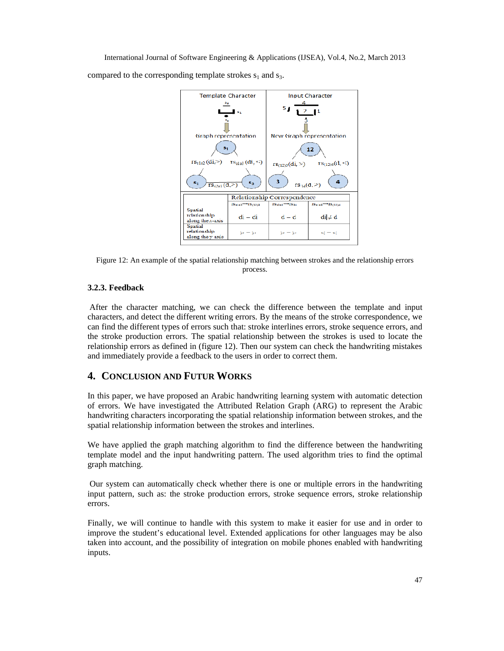compared to the corresponding template strokes  $s_1$  and  $s_3$ .



Figure 12: An example of the spatial relationship matching between strokes and the relationship errors process.

## **3.2.3. Feedback**

After the character matching, we can check the difference between the template and input characters, and detect the different writing errors. By the means of the stroke correspondence, we can find the different types of errors such that: stroke interlines errors, stroke sequence errors, and the stroke production errors. The spatial relationship between the strokes is used to locate the relationship errors as defined in (figure 12). Then our system can check the handwriting mistakes and immediately provide a feedback to the users in order to correct them.

## **4. CONCLUSION AND FUTUR WORKS**

In this paper, we have proposed an Arabic handwriting learning system with automatic detection of errors. We have investigated the Attributed Relation Graph (ARG) to represent the Arabic handwriting characters incorporating the spatial relationship information between strokes, and the spatial relationship information between the strokes and interlines.

We have applied the graph matching algorithm to find the difference between the handwriting template model and the input handwriting pattern. The used algorithm tries to find the optimal graph matching. .

Our system can automatically check whether there is one or multiple errors in the handwriting input pattern, such as: the stroke production errors, stroke sequence errors, stroke relationship errors.

Finally, we will continue to handle with this system to make it easier for use and in order to improve the student's educational level. Extended applications for other languages may be also taken into account, and the possibility of integration on mobile phones enabled with handwriting inputs.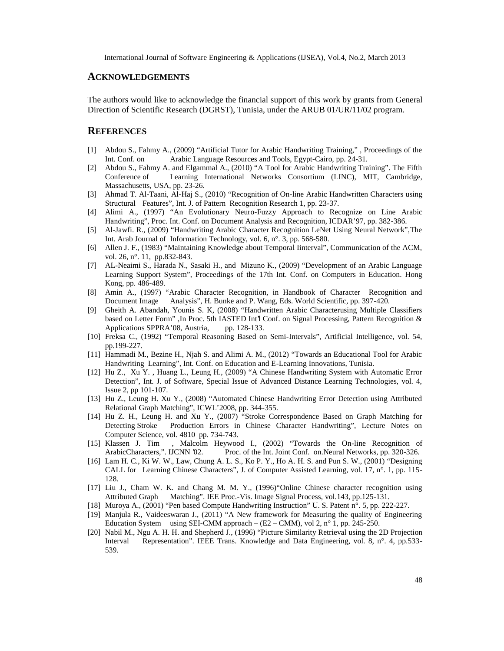#### **ACKNOWLEDGEMENTS**

The authors would like to acknowledge the financial support of this work by grants from General Direction of Scientific Research (DGRST), Tunisia, under the ARUB 01/UR/11/02 program.

## **REFERENCES**

- [1] Abdou S., Fahmy A., (2009) "Artificial Tutor for Arabic Handwriting Training," , Proceedings of the Int. Conf. on Arabic Language Resources and Tools, Egypt-Cairo, pp. 24-31.
- [2] Abdou S., Fahmy A. and Elgammal A., (2010) "A Tool for Arabic Handwriting Training". The Fifth Conference of Learning International Networks Consortium (LINC), MIT, Cambridge, Massachusetts, USA, pp. 23-26.
- [3] Ahmad T. Al-Taani, Al-Haj S., (2010) "Recognition of On-line Arabic Handwritten Characters using Structural Features", Int. J. of Pattern Recognition Research 1, pp. 23-37.
- [4] Alimi A., (1997) "An Evolutionary Neuro-Fuzzy Approach to Recognize on Line Arabic Handwriting", Proc. Int. Conf. on Document Analysis and Recognition, ICDAR'97, pp. 382-386.
- [5] Al-Jawfi. R., (2009) "Handwriting Arabic Character Recognition LeNet Using Neural Network",The Int. Arab Journal of Information Technology, vol. 6, n°. 3, pp. 568-580.
- [6] Allen J. F., (1983) "Maintaining Knowledge about Temporal Iinterval", Communication of the ACM, vol. 26, n°. 11, pp.832-843.
- [7] AL-Neaimi S., Harada N., Sasaki H., and Mizuno K., (2009) "Development of an Arabic Language Learning Support System", Proceedings of the 17th Int. Conf. on Computers in Education. Hong Kong, pp. 486-489.
- [8] Amin A., (1997) "Arabic Character Recognition, in Handbook of Character Recognition and Document Image Analysis", H. Bunke and P. Wang, Eds. World Scientific, pp. 397-420.
- [9] Gheith A. Abandah, Younis S. K, (2008) "Handwritten Arabic Characterusing Multiple Classifiers based on Letter Form" ,In Proc. 5th IASTED Int<sup>1</sup> Conf. on Signal Processing, Pattern Recognition & Applications SPPRA'08, Austria, pp. 128-133.
- [10] Freksa C., (1992) "Temporal Reasoning Based on Semi-Intervals", Artificial Intelligence, vol. 54, pp.199-227.
- [11] Hammadi M., Bezine H., Njah S. and Alimi A. M., (2012) "Towards an Educational Tool for Arabic Handwriting Learning", Int. Conf. on Education and E-Learning Innovations, Tunisia.
- [12] Hu Z., Xu Y. , Huang L., Leung H., (2009) "A Chinese Handwriting System with Automatic Error Detection", Int. J. of Software, Special Issue of Advanced Distance Learning Technologies, vol. 4, Issue 2, pp 101-107.
- [13] Hu Z., Leung H. Xu Y., (2008) "Automated Chinese Handwriting Error Detection using Attributed Relational Graph Matching", ICWL'2008, pp. 344-355.
- [14] Hu Z. H., Leung H. and Xu Y., (2007) "Stroke Correspondence Based on Graph Matching for Detecting Stroke Production Errors in Chinese Character Handwriting", Lecture Notes on Computer Science, vol. 4810 pp. 734-743.
- [15] Klassen J. Tim , Malcolm Heywood I., (2002) "Towards the On-line Recognition of ArabicCharacters,". IJCNN '02. Proc. of the Int. Joint Conf. on.Neural Networks, pp. 320-326.
- [16] Lam H. C., Ki W. W., Law, Chung A. L. S., Ko P. Y., Ho A. H. S. and Pun S. W., (2001) "Designing CALL for Learning Chinese Characters", J. of Computer Assisted Learning, vol. 17, n°. 1, pp. 115- 128.
- [17] Liu J., Cham W. K. and Chang M. M. Y., (1996)"Online Chinese character recognition using Attributed Graph Matching". IEE Proc.-Vis. Image Signal Process, vol.143, pp.125-131.
- [18] Muroya A., (2001) "Pen based Compute Handwriting Instruction" U. S. Patent n°. 5, pp. 222-227.
- [19] Manjula R., Vaideeswaran J., (2011) "A New framework for Measuring the quality of Engineering Education System using SEI-CMM approach –  $(E2 - CMM)$ , vol 2, n° 1, pp. 245-250.
- [20] Nabil M., Ngu A. H. H. and Shepherd J., (1996) "Picture Similarity Retrieval using the 2D Projection Interval Representation". IEEE Trans. Knowledge and Data Engineering, vol. 8, n°. 4, pp.533-539.